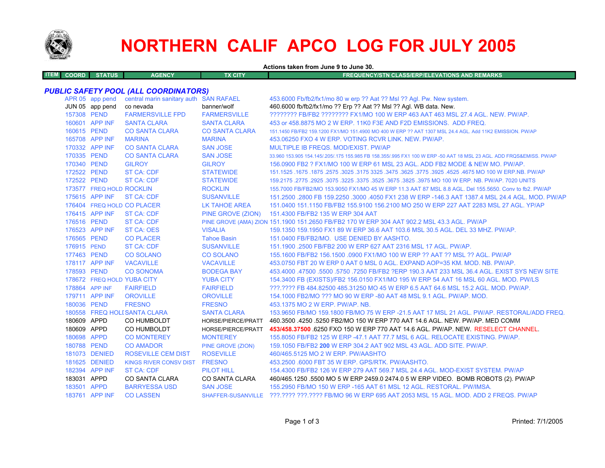

## **NORTHERN CALIF APCO LOG FOR JULY 2005**

| Actions taken from June 9 to June 30. |  |  |  |
|---------------------------------------|--|--|--|
|---------------------------------------|--|--|--|

| <b>ITEM COORD</b> | <b>STATUS</b> | <b>AGENCY</b> | TX CITY | <b>FREQUENCY/STN CLASS/ERP/ELEVATIONS AND REMARKS</b> |
|-------------------|---------------|---------------|---------|-------------------------------------------------------|
|                   |               |               |         |                                                       |

## *PUBLIC SAFETY POOL (ALL COORDINATORS)*

|             | APR 05 app pend<br>JUN 05 app pend | central marin sanitary auth SAN RAFAEL<br>co nevada | banner/wolf           | 453.6000 Fb/fb2/fx1/mo 80 w erp ?? Aat ?? Msl ?? Agl. Pw. New system.<br>460.6000 fb/fb2/fx1/mo ?? Erp ?? Aat ?? Msl ?? Agl. WB data. New. |
|-------------|------------------------------------|-----------------------------------------------------|-----------------------|--------------------------------------------------------------------------------------------------------------------------------------------|
| 157308 PEND |                                    | <b>FARMERSVILLE FPD</b>                             | <b>FARMERSVILLE</b>   | ???????? FB/FB2 ???????? FX1/MO 100 W ERP 463 AAT 463 MSL 27.4 AGL. NEW. PW/AP.                                                            |
|             | 160601 APP INF                     | <b>SANTA CLARA</b>                                  | <b>SANTA CLARA</b>    | 453 or 458,8875 MO 2 W ERP, 11K0 F3E AND F2D EMISSIONS. ADD FREQ.                                                                          |
| 160615 PEND |                                    | <b>CO SANTA CLARA</b>                               | <b>CO SANTA CLARA</b> | 151.1450 FB/FB2 159.1200 FX1/MO 151.4900 MO 400 W ERP ?? AAT 1307 MSL 24.4 AGL, Add 11K2 EMISSION, PW/AP                                   |
|             | 165708 APP INF                     | <b>MARINA</b>                                       | <b>MARINA</b>         | 453.06250 FXO 4 W ERP. VOTING RCVR LINK. NEW. PW/AP.                                                                                       |
|             | 170332 APP INF                     | <b>CO SANTA CLARA</b>                               | <b>SAN JOSE</b>       | MULTIPLE IB FREQS, MOD/EXIST, PW/AP                                                                                                        |
| 170335 PEND |                                    | <b>CO SANTA CLARA</b>                               | <b>SAN JOSE</b>       | 33.960 153.905 154.145/.205/.175 155.985 FB 158.355/.995 FX1 100 W ERP -50 AAT 18 MSL 23 AGL. ADD FRQS&EMISS. PW/AP                        |
| 170340 PEND |                                    | <b>GILROY</b>                                       | <b>GILROY</b>         | 156.0900 FB2 ? FX1/MO 100 W ERP 61 MSL 23 AGL. ADD FB2 MODE & NEW MO. PW/AP.                                                               |
| 172522 PEND |                                    | <b>ST CA: CDF</b>                                   | <b>STATEWIDE</b>      | 151.1525 .1675 .1875 .3025 .3775 .3625 .3775 .3925 .3775 .3925 .4525 .4675 .00 W ERP.NB. PW/AP                                             |
| 172522 PEND |                                    | <b>ST CA: CDF</b>                                   | <b>STATEWIDE</b>      | 159.2175 .2775 .2925 .3075 .3225 .3675 .3675 .3825 .3975 MO 100 W ERP. NB. PW/AP. 7020 UNITS                                               |
|             | 173577 FREQ HOLD ROCKLIN           |                                                     | <b>ROCKLIN</b>        | 155,7000 FB/FB2/MO 153,9050 FX1/MO 45 W ERP 11.3 AAT 87 MSL 8.8 AGL, Del 155,5650, Conv to fb2, PW/AP                                      |
|             | 175615 APP INF                     | <b>ST CA: CDF</b>                                   | <b>SUSANVILLE</b>     | 151.2500 .2800 FB 159.2250 .3000 .4050 FX1 238 W ERP -146.3 AAT 1387.4 MSL 24.4 AGL, MOD, PW/AP                                            |
|             |                                    | 176404 FREQ HOLD CO PLACER                          | <b>LK TAHOE AREA</b>  | 151,0400 151,1150 FB/FB2 155,9100 156,2100 MO 250 W ERP 227 AAT 2283 MSL 27 AGL, YP/AP                                                     |
|             | 176415 APP INF                     | <b>ST CA: CDF</b>                                   |                       | PINE GROVE (ZION) 151.4300 FB/FB2 135 W ERP 304 AAT                                                                                        |
| 176516 PEND |                                    | <b>ST CA: CDF</b>                                   |                       | PINE GROVE (AMA) ZION 151.1900 151.2650 FB/FB2 170 W ERP 304 AAT 902.2 MSL 43.3 AGL. PW/AP                                                 |
|             | 176523 APP INF                     | <b>ST CA: OES</b>                                   | <b>VISALIA</b>        | 159.1350 159.1950 FX1 89 W ERP 36.6 AAT 103.6 MSL 30.5 AGL, DEL 33 MHZ, PW/AP,                                                             |
| 176565 PEND |                                    | <b>CO PLACER</b>                                    | <b>Tahoe Basin</b>    | 151.0400 FB/FB2/MO. USE DENIED BY AASHTO.                                                                                                  |
| 176915 PEND |                                    | <b>ST CA: CDF</b>                                   | <b>SUSANVILLE</b>     | 151.1900 .2500 FB/FB2 200 W ERP 627 AAT 2316 MSL 17 AGL. PW/AP.                                                                            |
| 177463 PEND |                                    | <b>CO SOLANO</b>                                    | <b>CO SOLANO</b>      | 155.1600 FB/FB2 156.1500 .0900 FX1/MO 100 W ERP ?? AAT ?? MSL ?? AGL. PW/AP                                                                |
|             | 178117 APP INF                     | <b>VACAVILLE</b>                                    | <b>VACAVILLE</b>      | 453.0750 FBT 20 W ERP 0 AAT 0 MSL 0 AGL. EXPAND AOP=35 KM, MOD, NB, PW/AP,                                                                 |
| 178593 PEND |                                    | <b>CO SONOMA</b>                                    | <b>BODEGA BAY</b>     | 453,4000 .47500 .5500 .5750 .7250 FB/FB2 ?ERP 190.3 AAT 233 MSL 36.4 AGL. EXIST SYS NEW SITE                                               |
|             | 178672 FREQ HOLD YUBA CITY         |                                                     | <b>YUBA CITY</b>      | 154.3400 FB (EXISTS)/FB2 156.0150 FX1/MO 195 W ERP 54 AAT 16 MSL 60 AGL. MOD. PW/LS                                                        |
|             | 178864 APP INF                     | <b>FAIRFIELD</b>                                    | <b>FAIRFIELD</b>      | ???.???? FB 484.82500 485.31250 MO 45 W ERP 6.5 AAT 64.6 MSL 15.2 AGL, MOD, PW/AP,                                                         |
|             | 179711 APP INF                     | <b>OROVILLE</b>                                     | <b>OROVILLE</b>       | 154,1000 FB2/MO ??? MO 90 W ERP -80 AAT 48 MSL 9.1 AGL, PW/AP, MOD.                                                                        |
| 180036 PEND |                                    | <b>FRESNO</b>                                       | <b>FRESNO</b>         | 453.1375 MO 2 W ERP. PW/AP. NB.                                                                                                            |
|             |                                    | 180558 FREQ HOLI SANTA CLARA                        | <b>SANTA CLARA</b>    | 153,9650 FB/MO 159,1800 FB/MO 75 W ERP -21.5 AAT 17 MSL 21 AGL, PW/AP, RESTORAL/ADD FREQ.                                                  |
| 180609 APPD |                                    | CO HUMBOLDT                                         | HORSE/PIERCE/PRATT    | 460.3500 .4250 .5250 FB2/MO 150 W ERP 770 AAT 14.6 AGL. NEW. PW/AP. MED COMM                                                               |
| 180609 APPD |                                    | CO HUMBOLDT                                         | HORSE/PIERCE/PRATT    | 453/458.37500 6250 FXO 150 W ERP 770 AAT 14.6 AGL, PW/AP, NEW, RESELECT CHANNEL.                                                           |
| 180698 APPD |                                    | <b>CO MONTEREY</b>                                  | <b>MONTEREY</b>       | 155,8050 FB/FB2 125 W ERP -47.1 AAT 77.7 MSL 6 AGL, RELOCATE EXISTING, PW/AP.                                                              |
| 180788 PEND |                                    | <b>CO AMADOR</b>                                    | PINE GROVE (ZION)     | 159.1050 FB/FB2 200 W ERP 304.2 AAT 902 MSL 43 AGL. ADD SITE. PW/AP.                                                                       |
|             | 181073 DENIED                      | <b>ROSEVILLE CEM DIST</b>                           | <b>ROSEVILLE</b>      | 460/465.5125 MO 2 W ERP. PW/AASHTO                                                                                                         |
|             | 181625 DENIED                      | <b>KINGS RIVER CONSV DIST</b>                       | <b>FRESNO</b>         | 453.2500 .6000 FBT 35 W ERP. GPS/RTK. PW/AASHTO.                                                                                           |
|             | 182394 APP INF                     | <b>ST CA: CDF</b>                                   | PILOT HILL            | 154.4300 FB/FB2 126 W ERP 279 AAT 569.7 MSL 24.4 AGL. MOD-EXIST SYSTEM. PW/AP                                                              |
| 183031 APPD |                                    | CO SANTA CLARA                                      | CO SANTA CLARA        | 460/465.1250 .5500 MO 5 W ERP 2459.0 2474.0 5 W ERP VIDEO. BOMB ROBOTS (2). PW/AP                                                          |
| 183501 APPD |                                    | <b>BARRYESSA USD</b>                                | <b>SAN JOSE</b>       | 155,2950 FB/MO 150 W ERP -165 AAT 61 MSL 12 AGL, RESTORAL, PW/IMSA.                                                                        |
|             | 183761 APP INF                     | <b>CO LASSEN</b>                                    |                       | SHAFFER-SUSANVILLE ???.???? ???.???? FB/MO 96 W ERP 695 AAT 2053 MSL 15 AGL. MOD. ADD 2 FREQS. PW/AP                                       |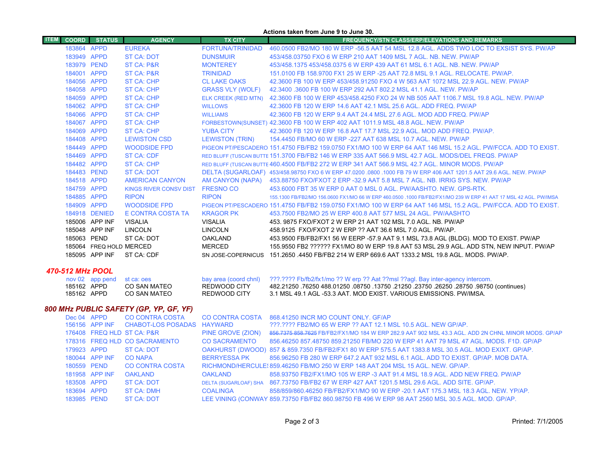| Actions taken from June 9 to June 30.  |                         |                               |                         |                                                                                                                     |
|----------------------------------------|-------------------------|-------------------------------|-------------------------|---------------------------------------------------------------------------------------------------------------------|
| <b>ITEM</b><br><b>COORD</b>            | <b>STATUS</b>           | <b>AGENCY</b>                 | <b>TX CITY</b>          | <b>FREQUENCY/STN CLASS/ERP/ELEVATIONS AND REMARKS</b>                                                               |
| 183864 APPD                            |                         | <b>EUREKA</b>                 | FORTUNA/TRINIDAD        | 460,0500 FB2/MO 180 W ERP -56.5 AAT 54 MSL 12.8 AGL. ADDS TWO LOC TO EXSIST SYS. PW/AP                              |
| 183949 APPD                            |                         | <b>ST CA: DOT</b>             | <b>DUNSMUIR</b>         | 453/458,03750 FXO 6 W ERP 210 AAT 1409 MSL 7 AGL, NB, NEW, PW/AP                                                    |
| 183979 PEND                            |                         | <b>ST CA: P&amp;R</b>         | <b>MONTEREY</b>         | 453/458.1375 453/458.0375 6 W ERP 439 AAT 61 MSL 6.1 AGL, NB, NEW, PW/AP                                            |
| 184001 APPD                            |                         | <b>ST CA: P&amp;R</b>         | <b>TRINIDAD</b>         | 151,0100 FB 158,9700 FX1 25 W ERP -25 AAT 72.8 MSL 9.1 AGL, RELOCATE, PW/AP.                                        |
| 184056 APPD                            |                         | <b>ST CA: CHP</b>             | <b>CL LAKE OAKS</b>     | 42.3600 FB 100 W ERP 453/458.91250 FXO 4 W 563 AAT 1072 MSL 22.9 AGL, NEW, PW/AP                                    |
| 184058 APPD                            |                         | <b>ST CA: CHP</b>             | <b>GRASS VLY (WOLF)</b> | 42.3400 .3600 FB 100 W ERP 292 AAT 802.2 MSL 41.1 AGL, NEW, PW/AP                                                   |
| 184059 APPD                            |                         | <b>ST CA: CHP</b>             |                         | ELK CREEK (RED MTN) 42.3600 FB 100 W ERP 453/458.4250 FXO 24 W NB 505 AAT 1106.7 MSL 19.8 AGL. NEW. PW/AP           |
| 184062 APPD                            |                         | <b>ST CA: CHP</b>             | <b>WILLOWS</b>          | 42.3600 FB 120 W ERP 14.6 AAT 42.1 MSL 25.6 AGL, ADD FREQ, PW/AP                                                    |
| 184066 APPD                            |                         | <b>ST CA: CHP</b>             | <b>WILLIAMS</b>         | 42.3600 FB 120 W ERP 9.4 AAT 24.4 MSL 27.6 AGL. MOD ADD FREQ. PW/AP                                                 |
| 184067 APPD                            |                         | <b>ST CA: CHP</b>             |                         | FORBESTOWN(SUNSET) 42.3600 FB 100 W ERP 402 AAT 1011.9 MSL 48.8 AGL. NEW. PW/AP                                     |
| 184069 APPD                            |                         | <b>ST CA: CHP</b>             | <b>YUBA CITY</b>        | 42,3600 FB 120 W ERP 16.8 AAT 17.7 MSL 22.9 AGL, MOD ADD FREQ, PW/AP.                                               |
| 184408 APPD                            |                         | <b>LEWISTON CSD</b>           | <b>LEWISTON (TRIN)</b>  | 154,4450 FB/MO 60 W ERP -227 AAT 638 MSL 10.7 AGL, NEW, PW/AP                                                       |
| 184449 APPD                            |                         | <b>WOODSIDE FPD</b>           |                         | PIGEON PT/PESCADERO 151.4750 FB/FB2 159.0750 FX1/MO 100 W ERP 64 AAT 146 MSL 15.2 AGL. PW/FCCA, ADD TO EXIST,       |
| 184469 APPD                            |                         | <b>ST CA: CDF</b>             |                         | RED BLUFF (TUSCAN BUTTE 151.3700 FB/FB2 146 W ERP 335 AAT 566.9 MSL 42.7 AGL, MODS/DEL FREQS, PW/AP                 |
| 184482 APPD                            |                         | <b>ST CA: CHP</b>             |                         | RED BLUFF (TUSCAN BUTTE 460.4500 FB/FB2 272 W ERP 341 AAT 566.9 MSL 42.7 AGL, MINOR MODS, PW/AP                     |
| 184483 PEND                            |                         | <b>ST CA: DOT</b>             |                         | DELTA (SUGARLOAF) 453/458.98750 FXO 6 W ERP 47.0200 .0800 .1000 FB 79 W ERP 406 AAT 1201.5 AAT 29.6 AGL. NEW. PW/AP |
| 184518 APPD                            |                         | <b>AMERICAN CANYON</b>        |                         | AM CANYON (NAPA) 453.88750 FXO/FXOT 2 ERP -32.9 AAT 5.8 MSL 7 AGL. NB. IRRIG SYS. NEW. PW/AP                        |
| 184759 APPD                            |                         | <b>KINGS RIVER CONSV DIST</b> | <b>FRESNO CO</b>        | 453,6000 FBT 35 W ERP 0 AAT 0 MSL 0 AGL, PW/AASHTO, NEW, GPS-RTK.                                                   |
| 184885 APPD                            |                         | <b>RIPON</b>                  | <b>RIPON</b>            | 155.1300 FB/FB2/MO 156.0600 FX1/MO 66 W ERP 460.0500 .1000 FB/FB2/FX1/MO 239 W ERP 41 AAT 17 MSL 42 AGL. PW/IMSA    |
| 184909 APPD                            |                         | <b>WOODSIDE FPD</b>           |                         | PIGEON PT/PESCADERO 151.4750 FB/FB2 159.0750 FX1/MO 100 W ERP 64 AAT 146 MSL 15.2 AGL. PW/FCCA, ADD TO EXIST,       |
|                                        | 184918 DENIED           | E CONTRA COSTA TA             | <b>KRAGOR PK</b>        | 453,7500 FB2/MO 25 W ERP 400.8 AAT 577 MSL 24 AGL, PW/AASHTO                                                        |
|                                        | 185006 APP INF          | <b>VISALIA</b>                | <b>VISALIA</b>          | 453, 9875 FXO/FXOT 2 W ERP 21 AAT 102 MSL 7.0 AGL, NB, PW/AP                                                        |
|                                        | 185048 APP INF          | <b>LINCOLN</b>                | <b>LINCOLN</b>          | 458.9125 FXO/FXOT 2 W ERP ?? AAT 36.6 MSL 7.0 AGL, PW/AP.                                                           |
| 185063 PEND                            |                         | ST CA: DOT                    | <b>OAKLAND</b>          | 453.9500 FB/FB2/FX1 56 W EERP -57.9 AAT 9.1 MSL 73.8 AGL (BLDG). MOD TO EXIST. PW/AP                                |
|                                        | 185064 FREQ HOLD MERCED |                               | <b>MERCED</b>           | 155.9550 FB2 ?????? FX1/MO 80 W ERP 19.8 AAT 53 MSL 29.9 AGL. ADD STN, NEW INPUT. PW/AP                             |
|                                        | 185095 APP INF          | ST CA: CDF                    | SN JOSE-COPERNICUS      | 151.2650 .4450 FB/FB2 214 W ERP 669.6 AAT 1333.2 MSL 19.8 AGL, MODS, PW/AP,                                         |
| 470-512 MHz POOL                       |                         |                               |                         |                                                                                                                     |
|                                        | nov 02 app pend         | st ca: oes                    | bay area (coord chnl)   | ???.???? Fb/fb2/fx1/mo ?? W erp ?? Aat ??msl ??agl. Bay inter-agency intercom.                                      |
| 185162 APPD                            |                         | <b>CO SAN MATEO</b>           | REDWOOD CITY            | (continues) 08750 28750 28750 28750 28750 26250 28750 68750 76250 488.01250 08750                                   |
| 185162 APPD                            |                         | <b>CO SAN MATEO</b>           | REDWOOD CITY            | 3.1 MSL 49.1 AGL -53.3 AAT. MOD EXIST. VARIOUS EMISSIONS. PW/IMSA.                                                  |
| 800 MHz PUBLIC SAFETY (GP, YP, GF, YF) |                         |                               |                         |                                                                                                                     |

| $Dec 04$ APPD |                | CO CONTRA COSTA                           |                      | CO CONTRA COSTA 868.41250 INCR MO COUNT ONLY. GF/AP                                                  |
|---------------|----------------|-------------------------------------------|----------------------|------------------------------------------------------------------------------------------------------|
|               |                | 156156 APP INF CHABOT-LOS POSADAS HAYWARD |                      | ???.???? FB2/MO 65 W ERP ?? AAT 12.1 MSL 10.5 AGL. NEW GP/AP.                                        |
|               |                | 176408 FREQ HLD ST CA: P&R                | PINE GROVE (ZION)    | 856.7375 858.7625 FB/FB2/FX1/MO 184 W ERP 282.9 AAT 902 MSL 43.3 AGL. ADD 2N CHNL MINOR MODS. GP/AP  |
|               |                | 178316 FREQ HLD CO SACRAMENTO             | <b>CO SACRAMENTO</b> | 856.46250 857.48750 859.21250 FB/MO 220 W ERP 41 AAT 79 MSL 47 AGL, MODS, F1D, GP/AP                 |
| 179923 APPD   |                | <b>ST CA: DOT</b>                         |                      | OAKHURST (DWOOD) 857 & 859.7350 FB/FB2/FX1 80 W ERP 575.5 AAT 1383.8 MSL 30.5 AGL. MOD EXIXT. GP/AP. |
|               | 180044 APP INF | <b>CO NAPA</b>                            | <b>BERRYESSA PK</b>  | 856.96250 FB 280 W ERP 647.2 AAT 932 MSL 6.1 AGL. ADD TO EXIST. GP/AP. MOB DATA.                     |
| 180559 PEND   |                | <b>CO CONTRA COSTA</b>                    |                      | RICHMOND/HERCULE: 859.46250 FB/MO 250 W ERP 148 AAT 204 MSL 15 AGL. NEW. GP/AP.                      |
|               | 181958 APP INF | OAKLAND                                   | OAKLAND              | 858.93750 FB2/FX1/MO 105 W ERP -3 AAT 91.4 MSL 18.9 AGL. ADD NEW FREQ. PW/AP                         |
| 183508 APPD   |                | ST CA: DOT                                |                      | DELTA (SUGARLOAF) SHA 867.73750 FB/FB2 67 W ERP 427 AAT 1201.5 MSL 29.6 AGL. ADD SITE. GP/AP.        |
| 183694 APPD   |                | ST CA: DMH                                | COALINGA             | 858/859/860.46250 FB/FB2/FX1/MO 90 W ERP -20.1 AAT 175.3 MSL 18.3 AGL, NEW, YP/AP,                   |
| 183985 PEND   |                | ST CA: DOT                                |                      | LEE VINING (CONWAY 859.73750 FB/FB2 860.98750 FB 496 W ERP 98 AAT 2560 MSL 30.5 AGL. MOD. GP/AP.     |
|               |                |                                           |                      |                                                                                                      |